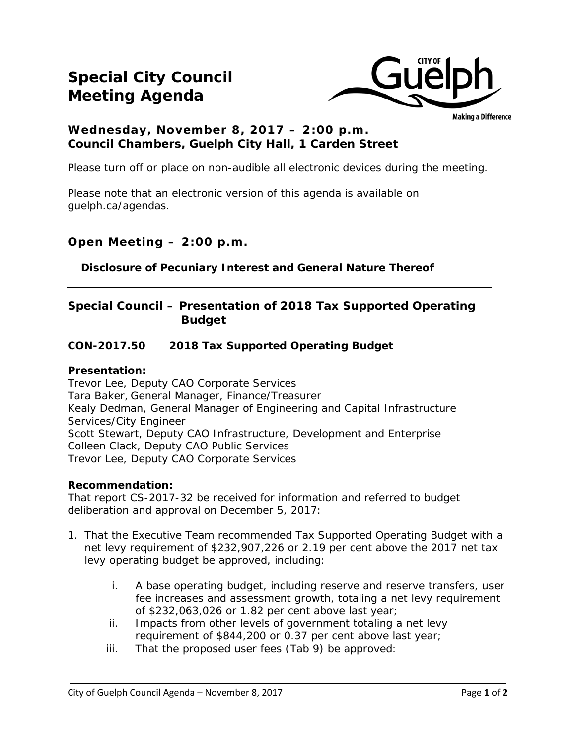## **Special City Council Meeting Agenda**



Making a Difference

### **Wednesday, November 8, 2017 – 2:00 p.m. Council Chambers, Guelph City Hall, 1 Carden Street**

Please turn off or place on non-audible all electronic devices during the meeting.

Please note that an electronic version of this agenda is available on guelph.ca/agendas.

### **Open Meeting – 2:00 p.m.**

**Disclosure of Pecuniary Interest and General Nature Thereof**

### **Special Council – Presentation of 2018 Tax Supported Operating Budget**

### **CON-2017.50 2018 Tax Supported Operating Budget**

#### **Presentation:**

Trevor Lee, Deputy CAO Corporate Services Tara Baker, General Manager, Finance/Treasurer Kealy Dedman, General Manager of Engineering and Capital Infrastructure Services/City Engineer Scott Stewart, Deputy CAO Infrastructure, Development and Enterprise Colleen Clack, Deputy CAO Public Services Trevor Lee, Deputy CAO Corporate Services

#### **Recommendation:**

That report CS-2017-32 be received for information and referred to budget deliberation and approval on December 5, 2017:

- 1. That the Executive Team recommended Tax Supported Operating Budget with a net levy requirement of \$232,907,226 or 2.19 per cent above the 2017 net tax levy operating budget be approved, including:
	- i. A base operating budget, including reserve and reserve transfers, user fee increases and assessment growth, totaling a net levy requirement of \$232,063,026 or 1.82 per cent above last year;
	- ii. Impacts from other levels of government totaling a net levy requirement of \$844,200 or 0.37 per cent above last year;
	- iii. That the proposed user fees (Tab 9) be approved: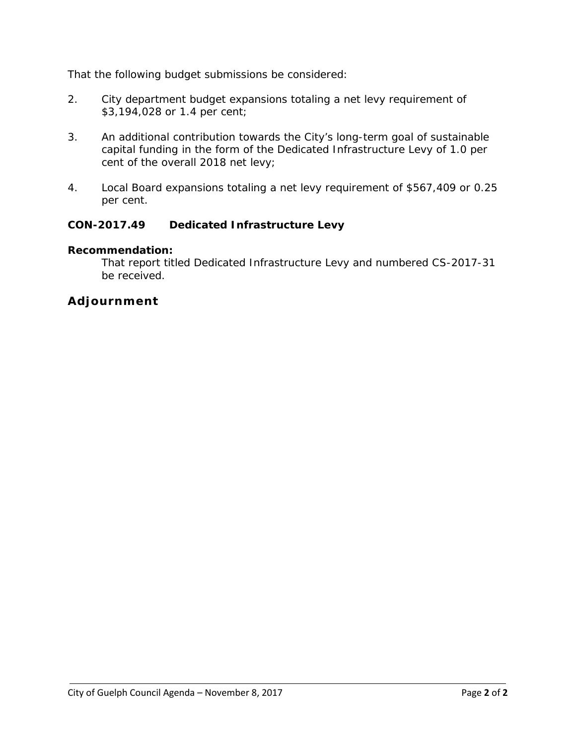That the following budget submissions be considered:

- 2. City department budget expansions totaling a net levy requirement of \$3,194,028 or 1.4 per cent;
- 3. An additional contribution towards the City's long-term goal of sustainable capital funding in the form of the Dedicated Infrastructure Levy of 1.0 per cent of the overall 2018 net levy;
- 4. Local Board expansions totaling a net levy requirement of \$567,409 or 0.25 per cent.

### **CON-2017.49 Dedicated Infrastructure Levy**

#### **Recommendation:**

That report titled Dedicated Infrastructure Levy and numbered CS-2017-31 be received.

### **Adjournment**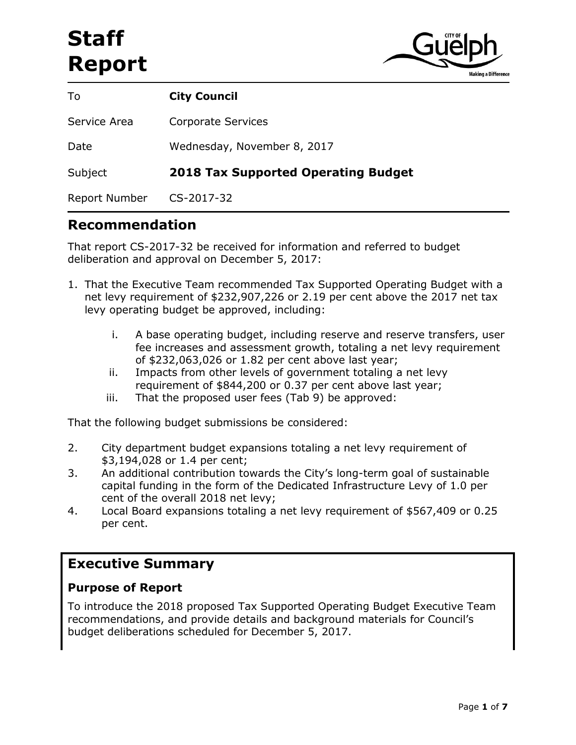# **Staff Report**



| To            | <b>City Council</b>                        |
|---------------|--------------------------------------------|
| Service Area  | Corporate Services                         |
| Date          | Wednesday, November 8, 2017                |
| Subject       | <b>2018 Tax Supported Operating Budget</b> |
| Report Number | CS-2017-32                                 |

### **Recommendation**

That report CS-2017-32 be received for information and referred to budget deliberation and approval on December 5, 2017:

- 1. That the Executive Team recommended Tax Supported Operating Budget with a net levy requirement of \$232,907,226 or 2.19 per cent above the 2017 net tax levy operating budget be approved, including:
	- i. A base operating budget, including reserve and reserve transfers, user fee increases and assessment growth, totaling a net levy requirement of \$232,063,026 or 1.82 per cent above last year;
	- ii. Impacts from other levels of government totaling a net levy requirement of \$844,200 or 0.37 per cent above last year;
	- iii. That the proposed user fees (Tab 9) be approved:

That the following budget submissions be considered:

- 2. City department budget expansions totaling a net levy requirement of \$3,194,028 or 1.4 per cent;
- 3. An additional contribution towards the City's long-term goal of sustainable capital funding in the form of the Dedicated Infrastructure Levy of 1.0 per cent of the overall 2018 net levy;
- 4. Local Board expansions totaling a net levy requirement of \$567,409 or 0.25 per cent.

### **Executive Summary**

### **Purpose of Report**

To introduce the 2018 proposed Tax Supported Operating Budget Executive Team recommendations, and provide details and background materials for Council's budget deliberations scheduled for December 5, 2017.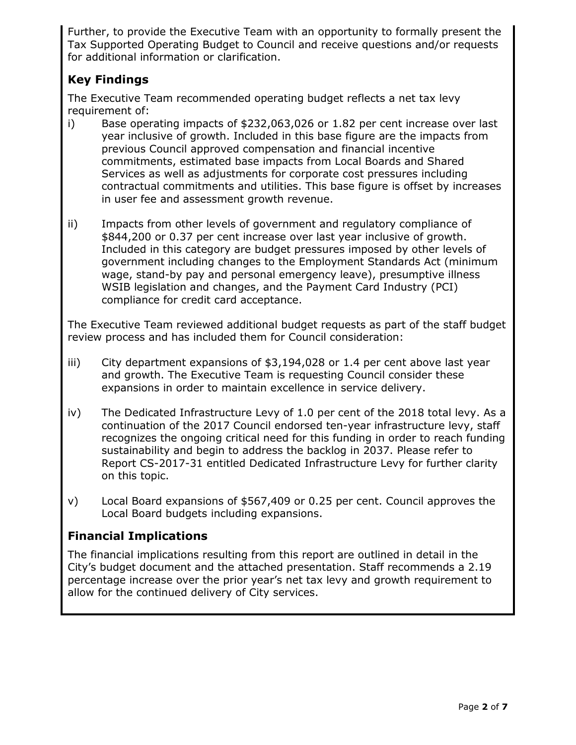Further, to provide the Executive Team with an opportunity to formally present the Tax Supported Operating Budget to Council and receive questions and/or requests for additional information or clarification.

### **Key Findings**

The Executive Team recommended operating budget reflects a net tax levy requirement of:

- i) Base operating impacts of \$232,063,026 or 1.82 per cent increase over last year inclusive of growth. Included in this base figure are the impacts from previous Council approved compensation and financial incentive commitments, estimated base impacts from Local Boards and Shared Services as well as adjustments for corporate cost pressures including contractual commitments and utilities. This base figure is offset by increases in user fee and assessment growth revenue.
- ii) Impacts from other levels of government and regulatory compliance of \$844,200 or 0.37 per cent increase over last year inclusive of growth. Included in this category are budget pressures imposed by other levels of government including changes to the Employment Standards Act (minimum wage, stand-by pay and personal emergency leave), presumptive illness WSIB legislation and changes, and the Payment Card Industry (PCI) compliance for credit card acceptance.

The Executive Team reviewed additional budget requests as part of the staff budget review process and has included them for Council consideration:

- iii) City department expansions of \$3,194,028 or 1.4 per cent above last year and growth. The Executive Team is requesting Council consider these expansions in order to maintain excellence in service delivery.
- iv) The Dedicated Infrastructure Levy of 1.0 per cent of the 2018 total levy. As a continuation of the 2017 Council endorsed ten-year infrastructure levy, staff recognizes the ongoing critical need for this funding in order to reach funding sustainability and begin to address the backlog in 2037. Please refer to Report CS-2017-31 entitled Dedicated Infrastructure Levy for further clarity on this topic.
- v) Local Board expansions of \$567,409 or 0.25 per cent. Council approves the Local Board budgets including expansions.

### **Financial Implications**

The financial implications resulting from this report are outlined in detail in the City's budget document and the attached presentation. Staff recommends a 2.19 percentage increase over the prior year's net tax levy and growth requirement to allow for the continued delivery of City services.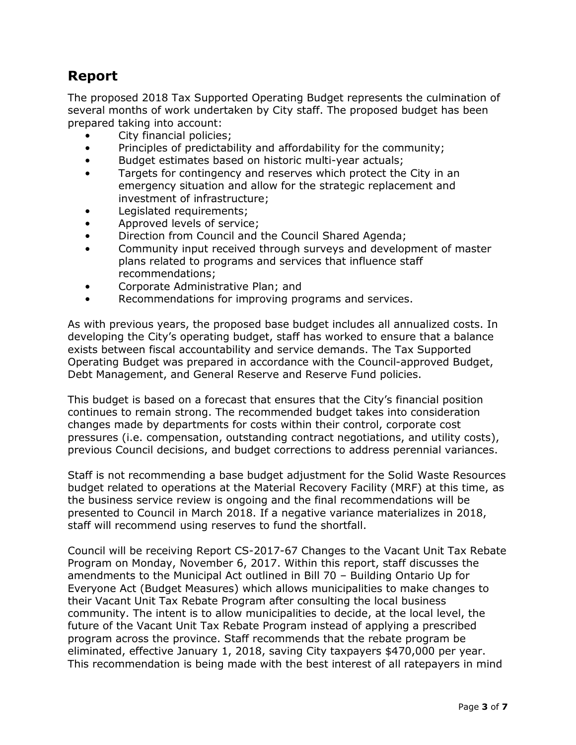### **Report**

The proposed 2018 Tax Supported Operating Budget represents the culmination of several months of work undertaken by City staff. The proposed budget has been prepared taking into account:

- City financial policies;
- Principles of predictability and affordability for the community;
- Budget estimates based on historic multi-year actuals;
- Targets for contingency and reserves which protect the City in an emergency situation and allow for the strategic replacement and investment of infrastructure;
- Legislated requirements;
- Approved levels of service;
- Direction from Council and the Council Shared Agenda;
- Community input received through surveys and development of master plans related to programs and services that influence staff recommendations;
- Corporate Administrative Plan; and
- Recommendations for improving programs and services.

As with previous years, the proposed base budget includes all annualized costs. In developing the City's operating budget, staff has worked to ensure that a balance exists between fiscal accountability and service demands. The Tax Supported Operating Budget was prepared in accordance with the Council-approved Budget, Debt Management, and General Reserve and Reserve Fund policies.

This budget is based on a forecast that ensures that the City's financial position continues to remain strong. The recommended budget takes into consideration changes made by departments for costs within their control, corporate cost pressures (i.e. compensation, outstanding contract negotiations, and utility costs), previous Council decisions, and budget corrections to address perennial variances.

Staff is not recommending a base budget adjustment for the Solid Waste Resources budget related to operations at the Material Recovery Facility (MRF) at this time, as the business service review is ongoing and the final recommendations will be presented to Council in March 2018. If a negative variance materializes in 2018, staff will recommend using reserves to fund the shortfall.

Council will be receiving Report CS-2017-67 Changes to the Vacant Unit Tax Rebate Program on Monday, November 6, 2017. Within this report, staff discusses the amendments to the Municipal Act outlined in Bill 70 – Building Ontario Up for Everyone Act (Budget Measures) which allows municipalities to make changes to their Vacant Unit Tax Rebate Program after consulting the local business community. The intent is to allow municipalities to decide, at the local level, the future of the Vacant Unit Tax Rebate Program instead of applying a prescribed program across the province. Staff recommends that the rebate program be eliminated, effective January 1, 2018, saving City taxpayers \$470,000 per year. This recommendation is being made with the best interest of all ratepayers in mind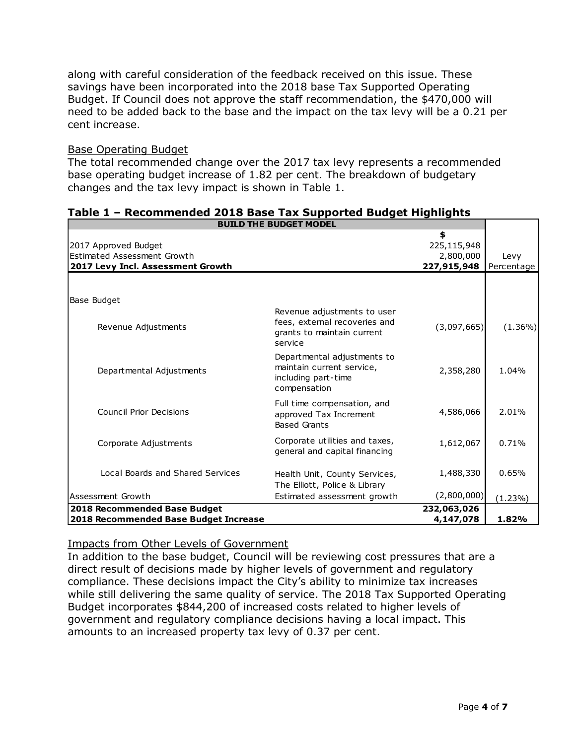along with careful consideration of the feedback received on this issue. These savings have been incorporated into the 2018 base Tax Supported Operating Budget. If Council does not approve the staff recommendation, the \$470,000 will need to be added back to the base and the impact on the tax levy will be a 0.21 per cent increase.

#### Base Operating Budget

The total recommended change over the 2017 tax levy represents a recommended base operating budget increase of 1.82 per cent. The breakdown of budgetary changes and the tax levy impact is shown in Table 1.

| <b>BUILD THE BUDGET MODEL</b>               |                                |             |            |
|---------------------------------------------|--------------------------------|-------------|------------|
|                                             |                                | \$          |            |
| 2017 Approved Budget                        |                                | 225,115,948 |            |
| Estimated Assessment Growth                 |                                | 2,800,000   | Levy       |
| 2017 Levy Incl. Assessment Growth           |                                | 227,915,948 | Percentage |
|                                             |                                |             |            |
|                                             |                                |             |            |
| Base Budget                                 |                                |             |            |
|                                             | Revenue adjustments to user    |             |            |
| Revenue Adjustments                         | fees, external recoveries and  | (3,097,665) | $(1.36\%)$ |
|                                             | grants to maintain current     |             |            |
|                                             | service                        |             |            |
|                                             | Departmental adjustments to    |             |            |
| Departmental Adjustments                    | maintain current service,      | 2,358,280   | 1.04%      |
|                                             | including part-time            |             |            |
|                                             | compensation                   |             |            |
|                                             | Full time compensation, and    |             |            |
| Council Prior Decisions                     | approved Tax Increment         | 4,586,066   | 2.01%      |
|                                             | <b>Based Grants</b>            |             |            |
| Corporate Adjustments                       | Corporate utilities and taxes, | 1,612,067   | 0.71%      |
|                                             | general and capital financing  |             |            |
|                                             |                                |             |            |
| Local Boards and Shared Services            | Health Unit, County Services,  | 1,488,330   | 0.65%      |
|                                             | The Elliott, Police & Library  |             |            |
| Assessment Growth                           | Estimated assessment growth    | (2,800,000) | (1.23%)    |
| 2018 Recommended Base Budget<br>232,063,026 |                                |             |            |
| 2018 Recommended Base Budget Increase       |                                | 4,147,078   | 1.82%      |

### **Table 1 – Recommended 2018 Base Tax Supported Budget Highlights**

#### Impacts from Other Levels of Government

In addition to the base budget, Council will be reviewing cost pressures that are a direct result of decisions made by higher levels of government and regulatory compliance. These decisions impact the City's ability to minimize tax increases while still delivering the same quality of service. The 2018 Tax Supported Operating Budget incorporates \$844,200 of increased costs related to higher levels of government and regulatory compliance decisions having a local impact. This amounts to an increased property tax levy of 0.37 per cent.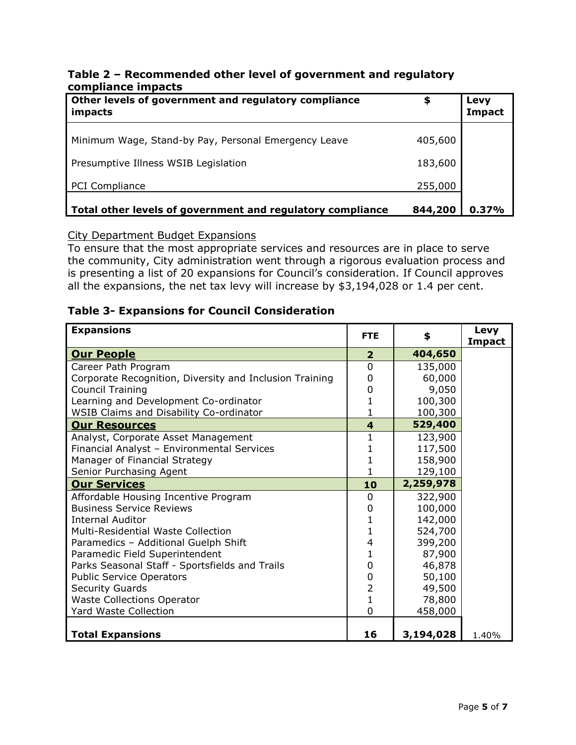#### **Table 2 – Recommended other level of government and regulatory compliance impacts**

| Other levels of government and regulatory compliance<br>impacts | \$      | Levy<br>Impact |
|-----------------------------------------------------------------|---------|----------------|
| Minimum Wage, Stand-by Pay, Personal Emergency Leave            | 405,600 |                |
| Presumptive Illness WSIB Legislation                            | 183,600 |                |
| <b>PCI Compliance</b>                                           | 255,000 |                |
| Total other levels of government and regulatory compliance      | 844,200 | 0.37%          |

#### City Department Budget Expansions

To ensure that the most appropriate services and resources are in place to serve the community, City administration went through a rigorous evaluation process and is presenting a list of 20 expansions for Council's consideration. If Council approves all the expansions, the net tax levy will increase by \$3,194,028 or 1.4 per cent.

### **Table 3- Expansions for Council Consideration**

| <b>Expansions</b>                                       | <b>FTE</b>              | \$        | Levy<br><b>Impact</b> |
|---------------------------------------------------------|-------------------------|-----------|-----------------------|
| <b>Our People</b>                                       | $\overline{2}$          | 404,650   |                       |
| Career Path Program                                     | $\overline{0}$          | 135,000   |                       |
| Corporate Recognition, Diversity and Inclusion Training | 0                       | 60,000    |                       |
| <b>Council Training</b>                                 | 0                       | 9,050     |                       |
| Learning and Development Co-ordinator                   |                         | 100,300   |                       |
| <b>WSIB Claims and Disability Co-ordinator</b>          |                         | 100,300   |                       |
| <b>Our Resources</b>                                    | $\overline{\mathbf{4}}$ | 529,400   |                       |
| Analyst, Corporate Asset Management                     | 1                       | 123,900   |                       |
| Financial Analyst - Environmental Services              |                         | 117,500   |                       |
| Manager of Financial Strategy                           |                         | 158,900   |                       |
| Senior Purchasing Agent                                 |                         | 129,100   |                       |
| <b>Our Services</b>                                     | 10                      | 2,259,978 |                       |
| Affordable Housing Incentive Program                    | $\Omega$                | 322,900   |                       |
| <b>Business Service Reviews</b>                         | 0                       | 100,000   |                       |
| <b>Internal Auditor</b>                                 |                         | 142,000   |                       |
| <b>Multi-Residential Waste Collection</b>               | 1                       | 524,700   |                       |
| Paramedics - Additional Guelph Shift                    | 4                       | 399,200   |                       |
| Paramedic Field Superintendent                          | 1                       | 87,900    |                       |
| Parks Seasonal Staff - Sportsfields and Trails          | 0                       | 46,878    |                       |
| <b>Public Service Operators</b>                         | 0                       | 50,100    |                       |
| <b>Security Guards</b>                                  | 2                       | 49,500    |                       |
| <b>Waste Collections Operator</b>                       | 1                       | 78,800    |                       |
| <b>Yard Waste Collection</b>                            | $\Omega$                | 458,000   |                       |
|                                                         |                         |           |                       |
| <b>Total Expansions</b>                                 | 16                      | 3,194,028 | 1.40%                 |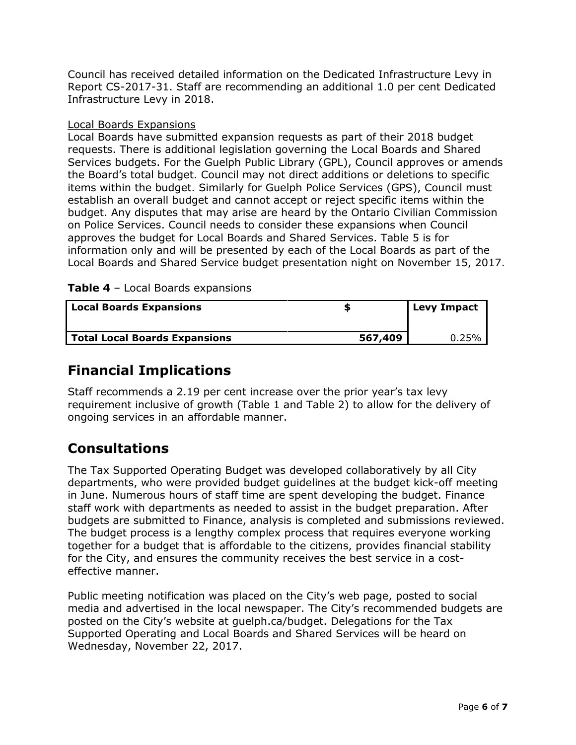Council has received detailed information on the Dedicated Infrastructure Levy in Report CS-2017-31. Staff are recommending an additional 1.0 per cent Dedicated Infrastructure Levy in 2018.

### Local Boards Expansions

Local Boards have submitted expansion requests as part of their 2018 budget requests. There is additional legislation governing the Local Boards and Shared Services budgets. For the Guelph Public Library (GPL), Council approves or amends the Board's total budget. Council may not direct additions or deletions to specific items within the budget. Similarly for Guelph Police Services (GPS), Council must establish an overall budget and cannot accept or reject specific items within the budget. Any disputes that may arise are heard by the Ontario Civilian Commission on Police Services. Council needs to consider these expansions when Council approves the budget for Local Boards and Shared Services. Table 5 is for information only and will be presented by each of the Local Boards as part of the Local Boards and Shared Service budget presentation night on November 15, 2017.

### **Table 4** – Local Boards expansions

| <b>Local Boards Expansions</b>       |         | <b>Levy Impact</b> |
|--------------------------------------|---------|--------------------|
| <b>Total Local Boards Expansions</b> | 567,409 | 0.25%              |

### **Financial Implications**

Staff recommends a 2.19 per cent increase over the prior year's tax levy requirement inclusive of growth (Table 1 and Table 2) to allow for the delivery of ongoing services in an affordable manner.

### **Consultations**

The Tax Supported Operating Budget was developed collaboratively by all City departments, who were provided budget guidelines at the budget kick-off meeting in June. Numerous hours of staff time are spent developing the budget. Finance staff work with departments as needed to assist in the budget preparation. After budgets are submitted to Finance, analysis is completed and submissions reviewed. The budget process is a lengthy complex process that requires everyone working together for a budget that is affordable to the citizens, provides financial stability for the City, and ensures the community receives the best service in a costeffective manner.

Public meeting notification was placed on the City's web page, posted to social media and advertised in the local newspaper. The City's recommended budgets are posted on the City's website at guelph.ca/budget. Delegations for the Tax Supported Operating and Local Boards and Shared Services will be heard on Wednesday, November 22, 2017.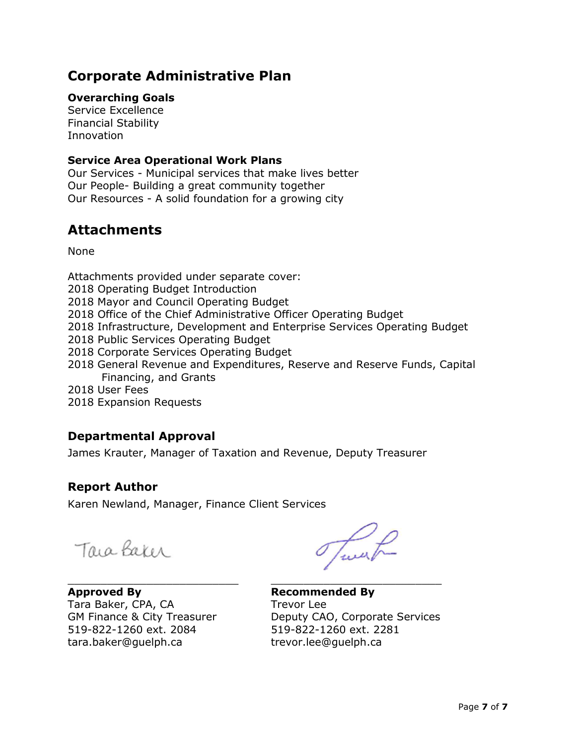### **Corporate Administrative Plan**

### **Overarching Goals**

Service Excellence Financial Stability Innovation

### **Service Area Operational Work Plans**

Our Services - Municipal services that make lives better Our People- Building a great community together Our Resources - A solid foundation for a growing city

### **Attachments**

None

Attachments provided under separate cover: 2018 Operating Budget Introduction 2018 Mayor and Council Operating Budget 2018 Office of the Chief Administrative Officer Operating Budget 2018 Infrastructure, Development and Enterprise Services Operating Budget 2018 Public Services Operating Budget 2018 Corporate Services Operating Budget 2018 General Revenue and Expenditures, Reserve and Reserve Funds, Capital Financing, and Grants 2018 User Fees 2018 Expansion Requests

### **Departmental Approval**

James Krauter, Manager of Taxation and Revenue, Deputy Treasurer

### **Report Author**

Karen Newland, Manager, Finance Client Services

Tara Baker

\_\_\_\_\_\_\_\_\_\_\_\_\_\_\_\_\_\_\_\_\_\_\_\_\_\_ \_\_\_\_\_\_\_\_\_\_\_\_\_\_\_\_\_\_\_\_\_\_\_\_\_\_ **Approved By Recommended By** Tara Baker, CPA, CA Trevor Lee 519-822-1260 ext. 2084 519-822-1260 ext. 2281 tara.baker@guelph.ca trevor.lee@guelph.ca

Tweet

GM Finance & City Treasurer Deputy CAO, Corporate Services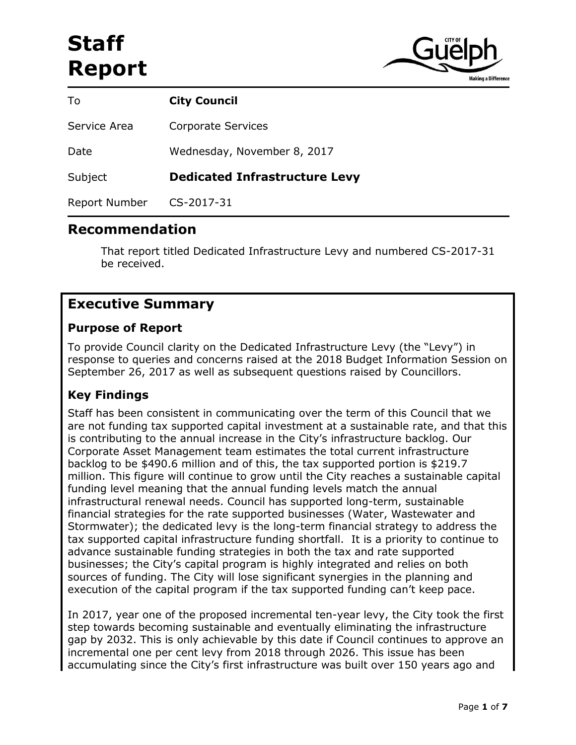# **Staff Report**



| To                   | <b>City Council</b>                  |
|----------------------|--------------------------------------|
| Service Area         | <b>Corporate Services</b>            |
| Date                 | Wednesday, November 8, 2017          |
| Subject              | <b>Dedicated Infrastructure Levy</b> |
| <b>Report Number</b> | CS-2017-31                           |

### **Recommendation**

That report titled Dedicated Infrastructure Levy and numbered CS-2017-31 be received.

### **Executive Summary**

### **Purpose of Report**

To provide Council clarity on the Dedicated Infrastructure Levy (the "Levy") in response to queries and concerns raised at the 2018 Budget Information Session on September 26, 2017 as well as subsequent questions raised by Councillors.

### **Key Findings**

Staff has been consistent in communicating over the term of this Council that we are not funding tax supported capital investment at a sustainable rate, and that this is contributing to the annual increase in the City's infrastructure backlog. Our Corporate Asset Management team estimates the total current infrastructure backlog to be \$490.6 million and of this, the tax supported portion is \$219.7 million. This figure will continue to grow until the City reaches a sustainable capital funding level meaning that the annual funding levels match the annual infrastructural renewal needs. Council has supported long-term, sustainable financial strategies for the rate supported businesses (Water, Wastewater and Stormwater); the dedicated levy is the long-term financial strategy to address the tax supported capital infrastructure funding shortfall. It is a priority to continue to advance sustainable funding strategies in both the tax and rate supported businesses; the City's capital program is highly integrated and relies on both sources of funding. The City will lose significant synergies in the planning and execution of the capital program if the tax supported funding can't keep pace.

In 2017, year one of the proposed incremental ten-year levy, the City took the first step towards becoming sustainable and eventually eliminating the infrastructure gap by 2032. This is only achievable by this date if Council continues to approve an incremental one per cent levy from 2018 through 2026. This issue has been accumulating since the City's first infrastructure was built over 150 years ago and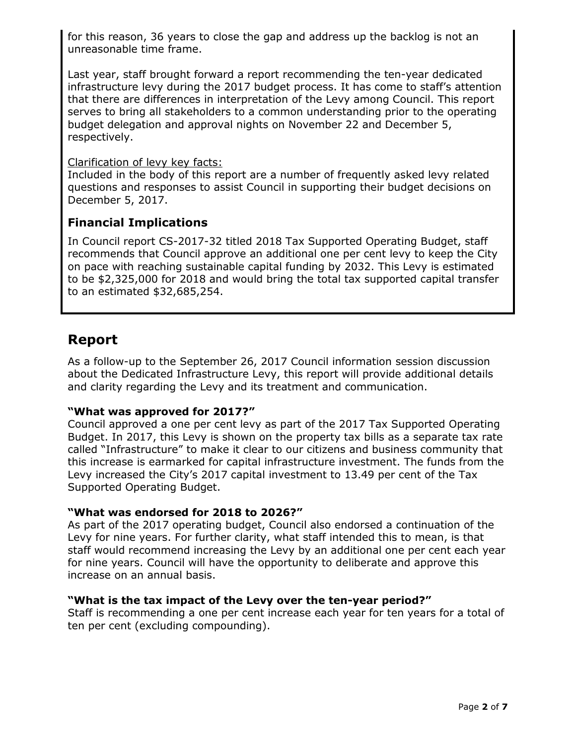for this reason, 36 years to close the gap and address up the backlog is not an unreasonable time frame.

Last year, staff brought forward a report recommending the ten-year dedicated infrastructure levy during the 2017 budget process. It has come to staff's attention that there are differences in interpretation of the Levy among Council. This report serves to bring all stakeholders to a common understanding prior to the operating budget delegation and approval nights on November 22 and December 5, respectively.

### Clarification of levy key facts:

Included in the body of this report are a number of frequently asked levy related questions and responses to assist Council in supporting their budget decisions on December 5, 2017.

### **Financial Implications**

In Council report CS-2017-32 titled 2018 Tax Supported Operating Budget, staff recommends that Council approve an additional one per cent levy to keep the City on pace with reaching sustainable capital funding by 2032. This Levy is estimated to be \$2,325,000 for 2018 and would bring the total tax supported capital transfer to an estimated \$32,685,254.

### **Report**

As a follow-up to the September 26, 2017 Council information session discussion about the Dedicated Infrastructure Levy, this report will provide additional details and clarity regarding the Levy and its treatment and communication.

#### **"What was approved for 2017?"**

Council approved a one per cent levy as part of the 2017 Tax Supported Operating Budget. In 2017, this Levy is shown on the property tax bills as a separate tax rate called "Infrastructure" to make it clear to our citizens and business community that this increase is earmarked for capital infrastructure investment. The funds from the Levy increased the City's 2017 capital investment to 13.49 per cent of the Tax Supported Operating Budget.

#### **"What was endorsed for 2018 to 2026?"**

As part of the 2017 operating budget, Council also endorsed a continuation of the Levy for nine years. For further clarity, what staff intended this to mean, is that staff would recommend increasing the Levy by an additional one per cent each year for nine years. Council will have the opportunity to deliberate and approve this increase on an annual basis.

#### **"What is the tax impact of the Levy over the ten-year period?"**

Staff is recommending a one per cent increase each year for ten years for a total of ten per cent (excluding compounding).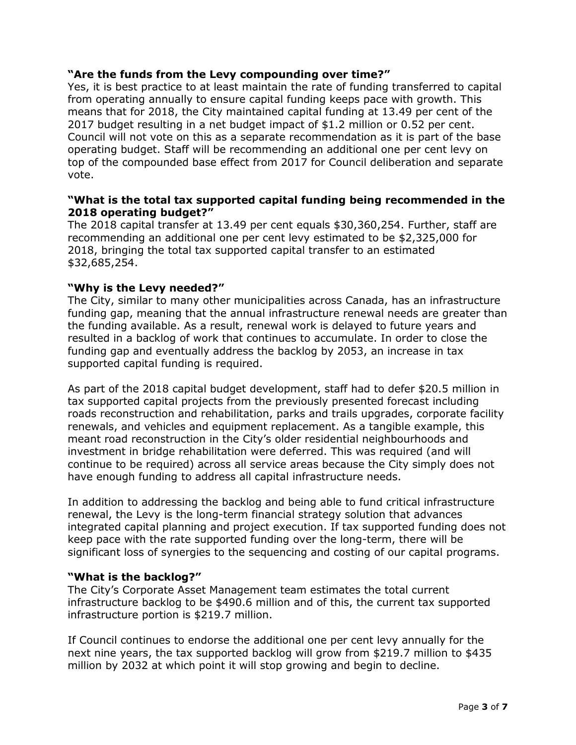### **"Are the funds from the Levy compounding over time?"**

Yes, it is best practice to at least maintain the rate of funding transferred to capital from operating annually to ensure capital funding keeps pace with growth. This means that for 2018, the City maintained capital funding at 13.49 per cent of the 2017 budget resulting in a net budget impact of \$1.2 million or 0.52 per cent. Council will not vote on this as a separate recommendation as it is part of the base operating budget. Staff will be recommending an additional one per cent levy on top of the compounded base effect from 2017 for Council deliberation and separate vote.

### **"What is the total tax supported capital funding being recommended in the 2018 operating budget?"**

The 2018 capital transfer at 13.49 per cent equals \$30,360,254. Further, staff are recommending an additional one per cent levy estimated to be \$2,325,000 for 2018, bringing the total tax supported capital transfer to an estimated \$32,685,254.

#### **"Why is the Levy needed?"**

The City, similar to many other municipalities across Canada, has an infrastructure funding gap, meaning that the annual infrastructure renewal needs are greater than the funding available. As a result, renewal work is delayed to future years and resulted in a backlog of work that continues to accumulate. In order to close the funding gap and eventually address the backlog by 2053, an increase in tax supported capital funding is required.

As part of the 2018 capital budget development, staff had to defer \$20.5 million in tax supported capital projects from the previously presented forecast including roads reconstruction and rehabilitation, parks and trails upgrades, corporate facility renewals, and vehicles and equipment replacement. As a tangible example, this meant road reconstruction in the City's older residential neighbourhoods and investment in bridge rehabilitation were deferred. This was required (and will continue to be required) across all service areas because the City simply does not have enough funding to address all capital infrastructure needs.

In addition to addressing the backlog and being able to fund critical infrastructure renewal, the Levy is the long-term financial strategy solution that advances integrated capital planning and project execution. If tax supported funding does not keep pace with the rate supported funding over the long-term, there will be significant loss of synergies to the sequencing and costing of our capital programs.

#### **"What is the backlog?"**

The City's Corporate Asset Management team estimates the total current infrastructure backlog to be \$490.6 million and of this, the current tax supported infrastructure portion is \$219.7 million.

If Council continues to endorse the additional one per cent levy annually for the next nine years, the tax supported backlog will grow from \$219.7 million to \$435 million by 2032 at which point it will stop growing and begin to decline.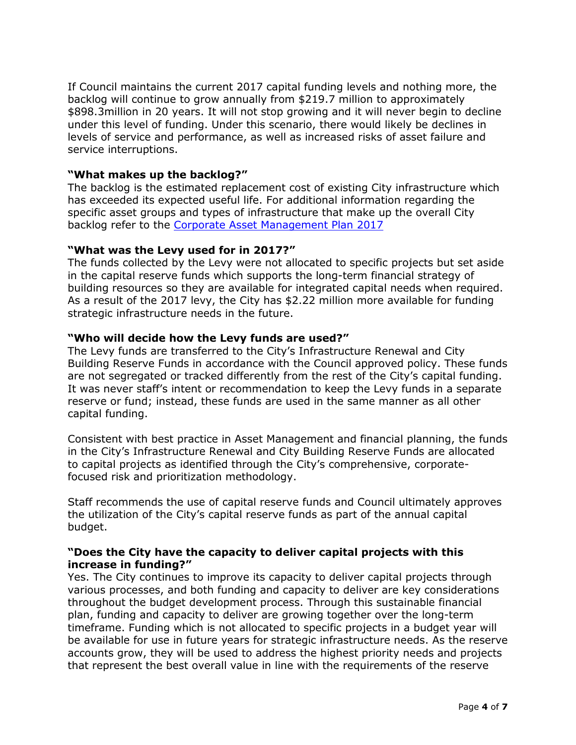If Council maintains the current 2017 capital funding levels and nothing more, the backlog will continue to grow annually from \$219.7 million to approximately \$898.3million in 20 years. It will not stop growing and it will never begin to decline under this level of funding. Under this scenario, there would likely be declines in levels of service and performance, as well as increased risks of asset failure and service interruptions.

#### **"What makes up the backlog?"**

The backlog is the estimated replacement cost of existing City infrastructure which has exceeded its expected useful life. For additional information regarding the specific asset groups and types of infrastructure that make up the overall City backlog refer to the [Corporate Asset Management Plan 2017](http://guelph.ca/wp-content/uploads/AMP-2016-02-04-Corporate-Asset-Management-Plan-FINAL.pdf)

#### **"What was the Levy used for in 2017?"**

The funds collected by the Levy were not allocated to specific projects but set aside in the capital reserve funds which supports the long-term financial strategy of building resources so they are available for integrated capital needs when required. As a result of the 2017 levy, the City has \$2.22 million more available for funding strategic infrastructure needs in the future.

#### **"Who will decide how the Levy funds are used?"**

The Levy funds are transferred to the City's Infrastructure Renewal and City Building Reserve Funds in accordance with the Council approved policy. These funds are not segregated or tracked differently from the rest of the City's capital funding. It was never staff's intent or recommendation to keep the Levy funds in a separate reserve or fund; instead, these funds are used in the same manner as all other capital funding.

Consistent with best practice in Asset Management and financial planning, the funds in the City's Infrastructure Renewal and City Building Reserve Funds are allocated to capital projects as identified through the City's comprehensive, corporatefocused risk and prioritization methodology.

Staff recommends the use of capital reserve funds and Council ultimately approves the utilization of the City's capital reserve funds as part of the annual capital budget.

### **"Does the City have the capacity to deliver capital projects with this increase in funding?"**

Yes. The City continues to improve its capacity to deliver capital projects through various processes, and both funding and capacity to deliver are key considerations throughout the budget development process. Through this sustainable financial plan, funding and capacity to deliver are growing together over the long-term timeframe. Funding which is not allocated to specific projects in a budget year will be available for use in future years for strategic infrastructure needs. As the reserve accounts grow, they will be used to address the highest priority needs and projects that represent the best overall value in line with the requirements of the reserve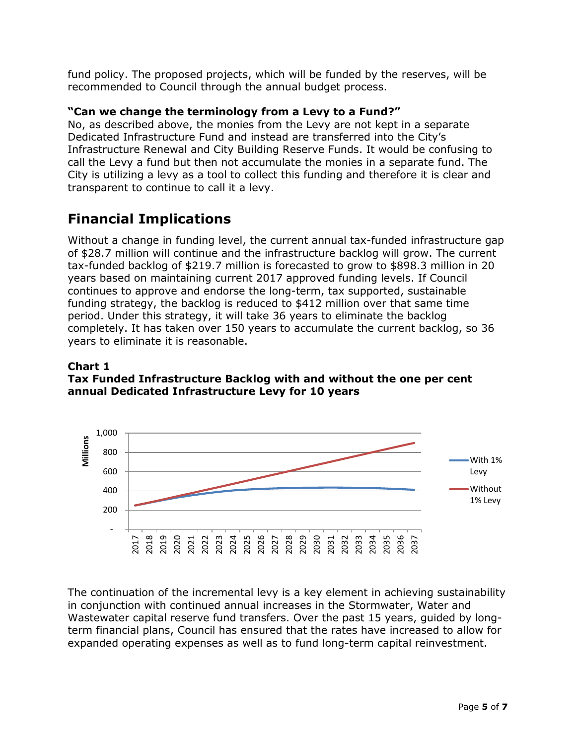fund policy. The proposed projects, which will be funded by the reserves, will be recommended to Council through the annual budget process.

### **"Can we change the terminology from a Levy to a Fund?"**

No, as described above, the monies from the Levy are not kept in a separate Dedicated Infrastructure Fund and instead are transferred into the City's Infrastructure Renewal and City Building Reserve Funds. It would be confusing to call the Levy a fund but then not accumulate the monies in a separate fund. The City is utilizing a levy as a tool to collect this funding and therefore it is clear and transparent to continue to call it a levy.

### **Financial Implications**

Without a change in funding level, the current annual tax-funded infrastructure gap of \$28.7 million will continue and the infrastructure backlog will grow. The current tax-funded backlog of \$219.7 million is forecasted to grow to \$898.3 million in 20 years based on maintaining current 2017 approved funding levels. If Council continues to approve and endorse the long-term, tax supported, sustainable funding strategy, the backlog is reduced to \$412 million over that same time period. Under this strategy, it will take 36 years to eliminate the backlog completely. It has taken over 150 years to accumulate the current backlog, so 36 years to eliminate it is reasonable.

### **Chart 1 Tax Funded Infrastructure Backlog with and without the one per cent annual Dedicated Infrastructure Levy for 10 years**



The continuation of the incremental levy is a key element in achieving sustainability in conjunction with continued annual increases in the Stormwater, Water and Wastewater capital reserve fund transfers. Over the past 15 years, guided by longterm financial plans, Council has ensured that the rates have increased to allow for expanded operating expenses as well as to fund long-term capital reinvestment.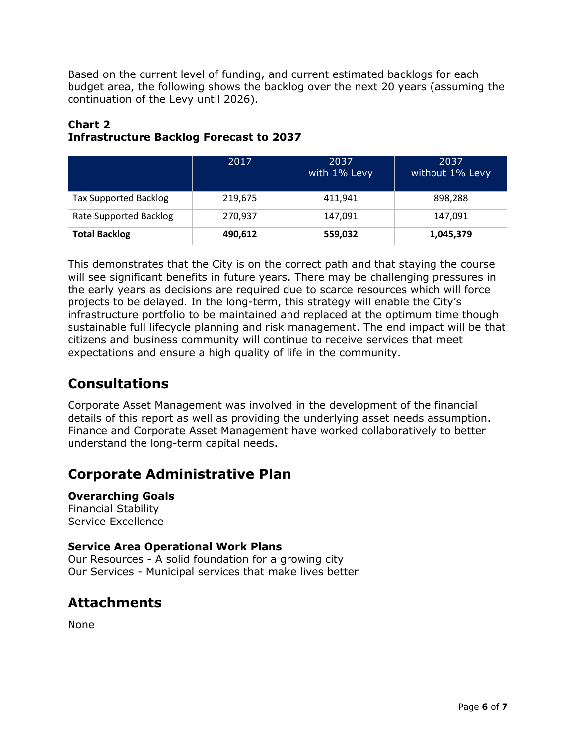Based on the current level of funding, and current estimated backlogs for each budget area, the following shows the backlog over the next 20 years (assuming the continuation of the Levy until 2026).

### **Chart 2 Infrastructure Backlog Forecast to 2037**

|                              | 2017    | 2037<br>with 1% Levy | 2037<br>without 1% Levy |
|------------------------------|---------|----------------------|-------------------------|
| <b>Tax Supported Backlog</b> | 219,675 | 411,941              | 898,288                 |
| Rate Supported Backlog       | 270,937 | 147,091              | 147.091                 |
| <b>Total Backlog</b>         | 490,612 | 559,032              | 1,045,379               |

This demonstrates that the City is on the correct path and that staying the course will see significant benefits in future years. There may be challenging pressures in the early years as decisions are required due to scarce resources which will force projects to be delayed. In the long-term, this strategy will enable the City's infrastructure portfolio to be maintained and replaced at the optimum time though sustainable full lifecycle planning and risk management. The end impact will be that citizens and business community will continue to receive services that meet expectations and ensure a high quality of life in the community.

### **Consultations**

Corporate Asset Management was involved in the development of the financial details of this report as well as providing the underlying asset needs assumption. Finance and Corporate Asset Management have worked collaboratively to better understand the long-term capital needs.

### **Corporate Administrative Plan**

**Overarching Goals** Financial Stability Service Excellence

### **Service Area Operational Work Plans**

Our Resources - A solid foundation for a growing city Our Services - Municipal services that make lives better

### **Attachments**

None